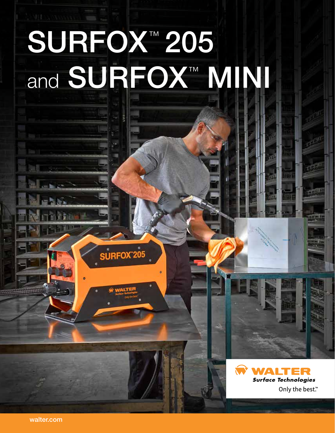# <u>Light</u> SURFOX™ 205 and SURFOX™ MINI



**Tagain** 

SURFOX<sup>205</sup>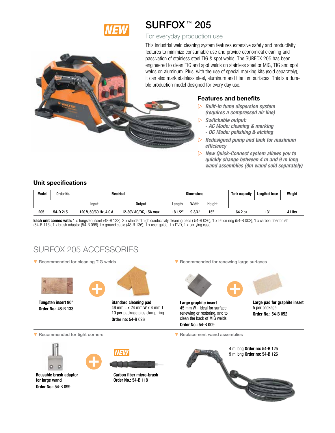

## SURFOX<sup>™</sup> 205

### For everyday production use

This industrial weld cleaning system features extensive safety and productivity features to minimize consumable use and provide economical cleaning and passivation of stainless steel TIG & spot welds. The SURFOX 205 has been engineered to clean TIG and spot welds on stainless steel or MIG, TIG and spot welds on aluminum. Plus, with the use of special marking kits (sold separately), it can also mark stainless steel, aluminum and titanium surfaces. This is a durable production model designed for every day use.

### Features and benefits

- w *Built-in fume dispersion system (requires a compressed air line)*
- $\triangleright$  Switchable output:
	- *AC Mode: cleaning & marking*
	- *DC Mode: polishing & etching*
- w *Redesigned pump and tank for maximum efficiency*
- w *New Quick-Connect system allows you to quickly change between 4 m and 9 m long wand assemblies (9m wand sold separately)*

### Unit specifications

| Model | Order No. | Electrical             |                       | <b>Dimensions</b> |       |        | <b>Tank capacity</b> | Lenath of hose | Weight |
|-------|-----------|------------------------|-----------------------|-------------------|-------|--------|----------------------|----------------|--------|
|       |           | Input                  | Output                | Lenath            | Width | Height |                      |                |        |
| 205   | 54-D 215  | 120 V, 50/60 Hz, 4.0 A | 12-30V AC/DC, 15A max | 181/2"            | 93/4" | 15"    | 64.2 oz              | 13'            | 41 lbs |

Each unit comes with: 1 x Tungsten insert (48-R 133), 3 x standard high conductivity cleaning pads (54-B 026), 1 x Teflon ring (54-B 002), 1 x carbon fiber brush  $(54-B118)$ , 1 x brush adaptor  $(54-B099)$  1 x ground cable  $(48-B136)$ , 1 x user guide, 1 x DVD, 1 x carrying case

## SURFOX 205 ACCESSORIES

**V** Recommended for cleaning TIG welds



Tungsten insert 90° Order No.: 48-R 133



Standard cleaning pad 46 mm L x 24 mm W x 4 mm T 10 per package plus clamp ring Order no: 54-B 026

Recommended for renewing large surfaces



Large graphite insert 45 mm W - Ideal for surface renewing or restoring, and to clean the back of MIG welds Order No.: 54-B 009

 $\blacktriangledown$  Replacement wand assemblies

Large pad for graphite insert 5 per package Order No.: 54-B 052

Recommended for tight corners



Reusable brush adaptor for large wand Order No.: 54-B 099



Carbon fiber micro-brush Order No.: 54-B 118

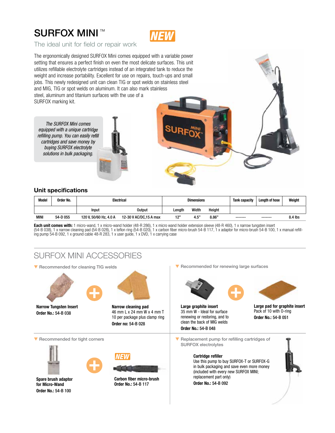## SURFOX MINI ™



The ideal unit for field or repair work

The ergonomically designed SURFOX Mini comes equipped with a variable power setting that ensures a perfect finish on even the most delicate surfaces. This unit utilizes refillable electrolyte cartridges instead of an integrated tank to reduce the weight and increase portability. Excellent for use on repairs, touch-ups and small jobs. This newly redesigned unit can clean TIG or spot welds on stainless steel and MIG, TIG or spot welds on aluminum. It can also mark stainless steel, aluminum and titanium surfaces with the use of a SURFOX marking kit.

*The SURFOX Mini comes equipped with a unique cartridge refilling pump. You can easily refill cartridges and save money by buying SURFOX electrolyte solutions in bulk packaging.*



### **Unit specifications**

| <b>Model</b> | Order No. | <b>Electrical</b>      |                         | <b>Dimensions</b> |       |        | Tank capacity | Length of hose | Weight  |
|--------------|-----------|------------------------|-------------------------|-------------------|-------|--------|---------------|----------------|---------|
|              |           | Input                  | Output                  | Length            | Width | Height |               |                |         |
| <b>MINI</b>  | 54-D 055  | 120 V. 50/60 Hz. 4.0 A | 12-30 V AC/DC, 15 A max | 12"               | 4.5"  | 8.86"  | -------       | -------        | 8.4 lbs |

**Each unit comes with:** 1 micro-wand, 1 x micro-wand holder (48-R 286), 1 x micro wand holder extension sleeve (48-R 460), 1 x narrow tungsten insert<br>(54-B 038), 1 x narrow cleaning pad (54-B 028), 1 x teflon ring (54-B 02

## SURFOX MINI ACCESSORIES

 $\blacktriangledown$  Recommended for cleaning TIG welds



**Narrow Tungsten Insert Order No.:** 54-B 038



**Narrow cleaning pad** 46 mm L x 24 mm W x 4 mm T 10 per package plus clamp ring **Order no:** 54-B 028



**Spare brush adaptor for Micro-Wand Order No.:** 54-B 100



**Carbon fiber micro-brush Order No.:** 54-B 117

Recommended for renewing large surfaces



**Large graphite insert** 35 mm W - Ideal for surface renewing or restoring, and to clean the back of MIG welds **Order No.:** 54-B 048



**Large pad for graphite insert** Pack of 10 with O-ring **Order No.:** 54-B 051

▼ Recommended for tight corners q Replacement pump for refilling cartridges of SURFOX electrolytes

#### **Cartridge refiller**

Use this pump to buy SURFOX-T or SURFOX-G in bulk packaging and save even more money (included with every new SURFOX MINI; replacement part only)

**Order No.:** 54-B 092